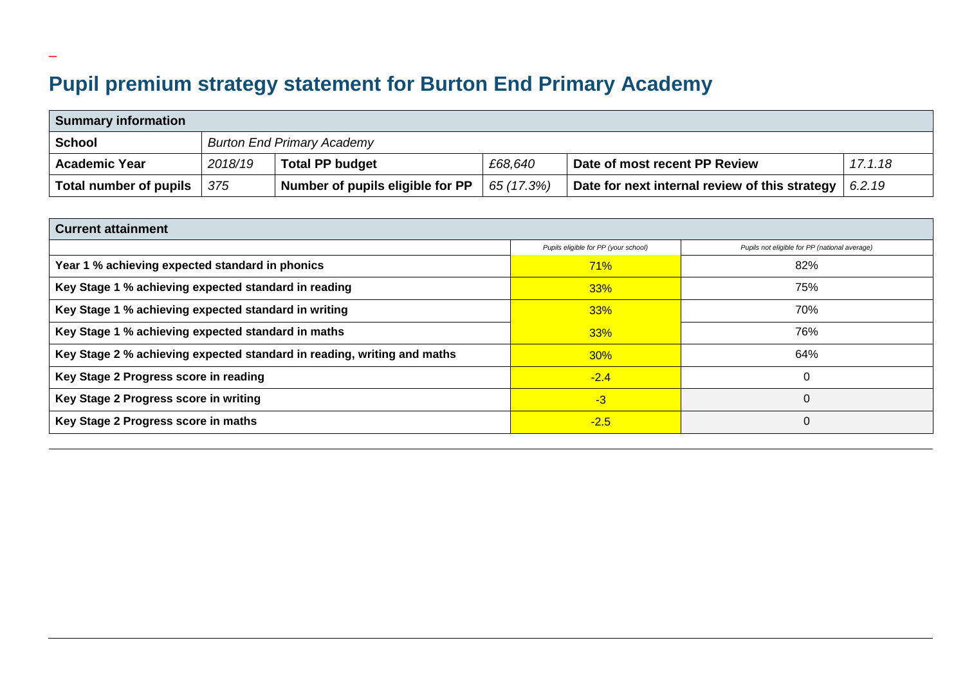## **Pupil premium strategy statement for Burton End Primary Academy**

\_

| <b>Summary information</b> |         |                                   |            |                                                |         |  |  |  |
|----------------------------|---------|-----------------------------------|------------|------------------------------------------------|---------|--|--|--|
| <b>School</b>              |         | <b>Burton End Primary Academy</b> |            |                                                |         |  |  |  |
| <b>Academic Year</b>       | 2018/19 | <b>Total PP budget</b>            | £68,640    | Date of most recent PP Review                  | 17.1.18 |  |  |  |
| Total number of pupils     | 375     | Number of pupils eligible for PP  | 65 (17.3%) | Date for next internal review of this strategy | 6.2.19  |  |  |  |

| <b>Current attainment</b>                                               |                                      |                                               |  |  |  |  |
|-------------------------------------------------------------------------|--------------------------------------|-----------------------------------------------|--|--|--|--|
|                                                                         | Pupils eligible for PP (your school) | Pupils not eligible for PP (national average) |  |  |  |  |
| Year 1 % achieving expected standard in phonics                         | 71%                                  | 82%                                           |  |  |  |  |
| Key Stage 1 % achieving expected standard in reading                    | 33%                                  | 75%                                           |  |  |  |  |
| Key Stage 1 % achieving expected standard in writing                    | 33%                                  | 70%                                           |  |  |  |  |
| Key Stage 1 % achieving expected standard in maths                      | 33%                                  | 76%                                           |  |  |  |  |
| Key Stage 2 % achieving expected standard in reading, writing and maths | $30\%$                               | 64%                                           |  |  |  |  |
| Key Stage 2 Progress score in reading                                   | $-2.4$                               |                                               |  |  |  |  |
| Key Stage 2 Progress score in writing                                   | $-3$                                 | 0                                             |  |  |  |  |
| Key Stage 2 Progress score in maths                                     | $-2.5$                               | 0                                             |  |  |  |  |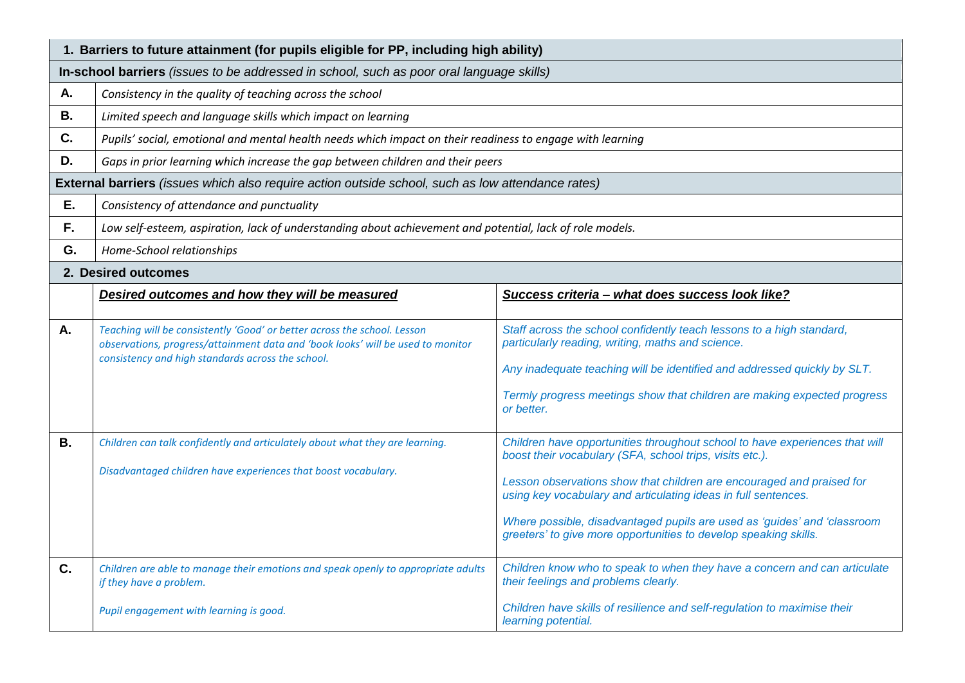|           | 1. Barriers to future attainment (for pupils eligible for PP, including high ability)                                                                                                                            |                                                                                                                                                                                                                                                                                                                                                                                                                                    |  |  |  |  |
|-----------|------------------------------------------------------------------------------------------------------------------------------------------------------------------------------------------------------------------|------------------------------------------------------------------------------------------------------------------------------------------------------------------------------------------------------------------------------------------------------------------------------------------------------------------------------------------------------------------------------------------------------------------------------------|--|--|--|--|
|           | In-school barriers (issues to be addressed in school, such as poor oral language skills)                                                                                                                         |                                                                                                                                                                                                                                                                                                                                                                                                                                    |  |  |  |  |
| А.        | Consistency in the quality of teaching across the school                                                                                                                                                         |                                                                                                                                                                                                                                                                                                                                                                                                                                    |  |  |  |  |
| <b>B.</b> | Limited speech and language skills which impact on learning                                                                                                                                                      |                                                                                                                                                                                                                                                                                                                                                                                                                                    |  |  |  |  |
| C.        | Pupils' social, emotional and mental health needs which impact on their readiness to engage with learning                                                                                                        |                                                                                                                                                                                                                                                                                                                                                                                                                                    |  |  |  |  |
| D.        | Gaps in prior learning which increase the gap between children and their peers                                                                                                                                   |                                                                                                                                                                                                                                                                                                                                                                                                                                    |  |  |  |  |
|           | External barriers (issues which also require action outside school, such as low attendance rates)                                                                                                                |                                                                                                                                                                                                                                                                                                                                                                                                                                    |  |  |  |  |
| Ε.        | Consistency of attendance and punctuality                                                                                                                                                                        |                                                                                                                                                                                                                                                                                                                                                                                                                                    |  |  |  |  |
| F.        | Low self-esteem, aspiration, lack of understanding about achievement and potential, lack of role models.                                                                                                         |                                                                                                                                                                                                                                                                                                                                                                                                                                    |  |  |  |  |
| G.        | Home-School relationships                                                                                                                                                                                        |                                                                                                                                                                                                                                                                                                                                                                                                                                    |  |  |  |  |
|           | 2. Desired outcomes                                                                                                                                                                                              |                                                                                                                                                                                                                                                                                                                                                                                                                                    |  |  |  |  |
|           | Desired outcomes and how they will be measured                                                                                                                                                                   | Success criteria - what does success look like?                                                                                                                                                                                                                                                                                                                                                                                    |  |  |  |  |
| Α.        | Teaching will be consistently 'Good' or better across the school. Lesson<br>observations, progress/attainment data and 'book looks' will be used to monitor<br>consistency and high standards across the school. | Staff across the school confidently teach lessons to a high standard,<br>particularly reading, writing, maths and science.<br>Any inadequate teaching will be identified and addressed quickly by SLT.<br>Termly progress meetings show that children are making expected progress<br>or better.                                                                                                                                   |  |  |  |  |
| <b>B.</b> | Children can talk confidently and articulately about what they are learning.<br>Disadvantaged children have experiences that boost vocabulary.                                                                   | Children have opportunities throughout school to have experiences that will<br>boost their vocabulary (SFA, school trips, visits etc.).<br>Lesson observations show that children are encouraged and praised for<br>using key vocabulary and articulating ideas in full sentences.<br>Where possible, disadvantaged pupils are used as 'guides' and 'classroom<br>greeters' to give more opportunities to develop speaking skills. |  |  |  |  |
| C.        | Children are able to manage their emotions and speak openly to appropriate adults<br>if they have a problem.<br>Pupil engagement with learning is good.                                                          | Children know who to speak to when they have a concern and can articulate<br>their feelings and problems clearly.<br>Children have skills of resilience and self-regulation to maximise their<br>learning potential.                                                                                                                                                                                                               |  |  |  |  |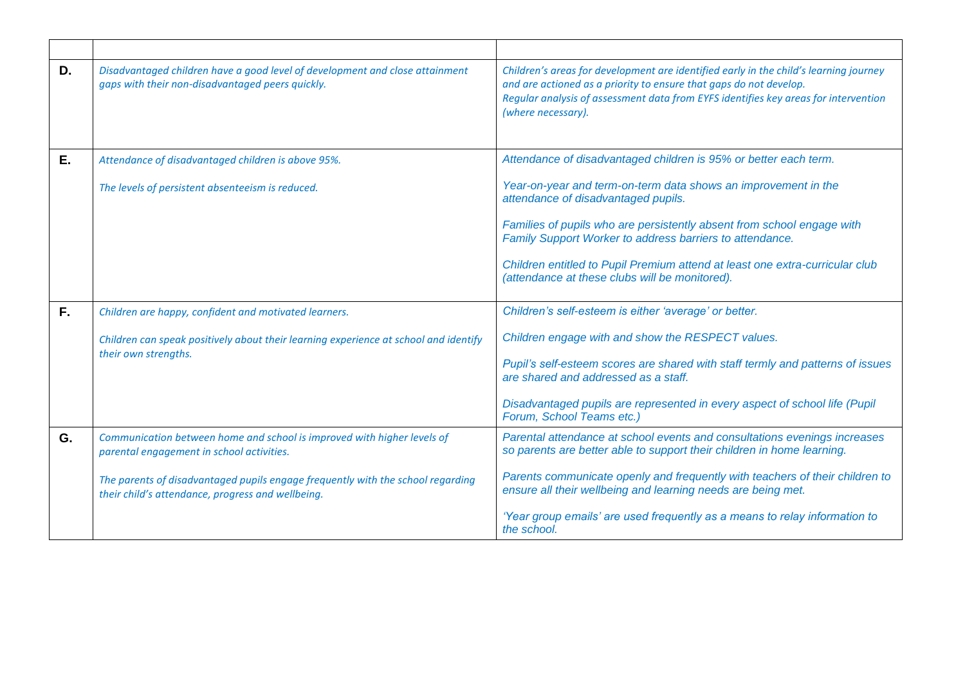| D. | Disadvantaged children have a good level of development and close attainment<br>gaps with their non-disadvantaged peers quickly.     | Children's areas for development are identified early in the child's learning journey<br>and are actioned as a priority to ensure that gaps do not develop.<br>Regular analysis of assessment data from EYFS identifies key areas for intervention<br>(where necessary). |
|----|--------------------------------------------------------------------------------------------------------------------------------------|--------------------------------------------------------------------------------------------------------------------------------------------------------------------------------------------------------------------------------------------------------------------------|
| Ε. | Attendance of disadvantaged children is above 95%.                                                                                   | Attendance of disadvantaged children is 95% or better each term.                                                                                                                                                                                                         |
|    | The levels of persistent absenteeism is reduced.                                                                                     | Year-on-year and term-on-term data shows an improvement in the<br>attendance of disadvantaged pupils.                                                                                                                                                                    |
|    |                                                                                                                                      | Families of pupils who are persistently absent from school engage with<br>Family Support Worker to address barriers to attendance.                                                                                                                                       |
|    |                                                                                                                                      | Children entitled to Pupil Premium attend at least one extra-curricular club<br>(attendance at these clubs will be monitored).                                                                                                                                           |
| F. | Children are happy, confident and motivated learners.                                                                                | Children's self-esteem is either 'average' or better.                                                                                                                                                                                                                    |
|    | Children can speak positively about their learning experience at school and identify                                                 | Children engage with and show the RESPECT values.                                                                                                                                                                                                                        |
|    | their own strengths.                                                                                                                 | Pupil's self-esteem scores are shared with staff termly and patterns of issues<br>are shared and addressed as a staff.                                                                                                                                                   |
|    |                                                                                                                                      | Disadvantaged pupils are represented in every aspect of school life (Pupil<br>Forum, School Teams etc.)                                                                                                                                                                  |
| G. | Communication between home and school is improved with higher levels of<br>parental engagement in school activities.                 | Parental attendance at school events and consultations evenings increases<br>so parents are better able to support their children in home learning.                                                                                                                      |
|    | The parents of disadvantaged pupils engage frequently with the school regarding<br>their child's attendance, progress and wellbeing. | Parents communicate openly and frequently with teachers of their children to<br>ensure all their wellbeing and learning needs are being met.                                                                                                                             |
|    |                                                                                                                                      | 'Year group emails' are used frequently as a means to relay information to<br>the school.                                                                                                                                                                                |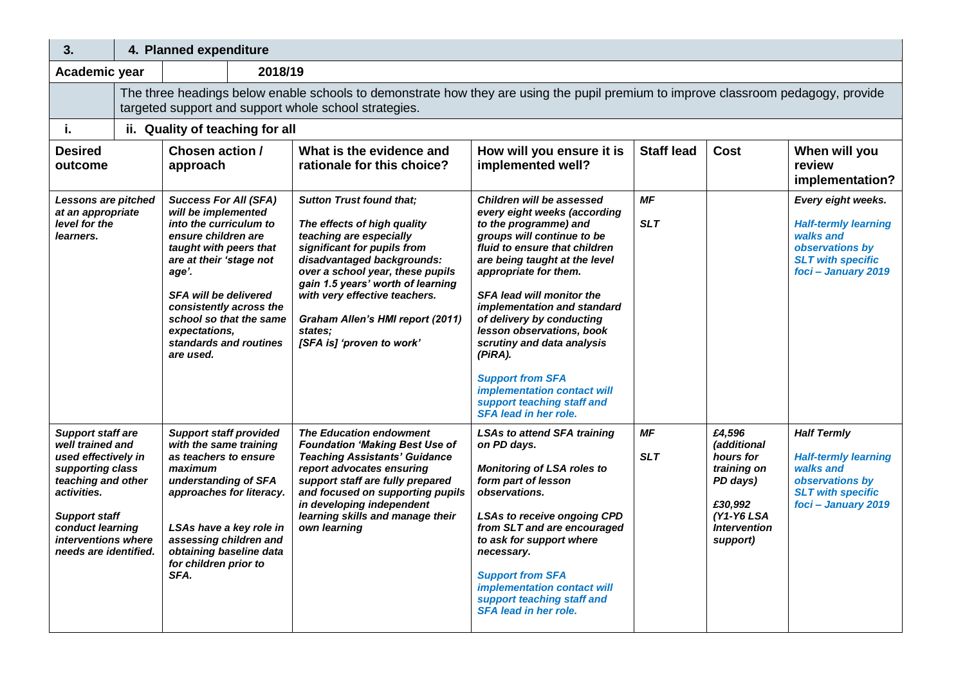| 3.                                                                                                                                                                                                                              |                                                                                                                                                                                             | 4. Planned expenditure                                                                                                                                                                                                                                                                                           |  |                                                                                                                                                                                                                                                                                                                                              |                                                                                                                                                                                                                                                                                                                                                                                                                                                                                                           |                         |                                                                                                                           |                                                                                                                                      |
|---------------------------------------------------------------------------------------------------------------------------------------------------------------------------------------------------------------------------------|---------------------------------------------------------------------------------------------------------------------------------------------------------------------------------------------|------------------------------------------------------------------------------------------------------------------------------------------------------------------------------------------------------------------------------------------------------------------------------------------------------------------|--|----------------------------------------------------------------------------------------------------------------------------------------------------------------------------------------------------------------------------------------------------------------------------------------------------------------------------------------------|-----------------------------------------------------------------------------------------------------------------------------------------------------------------------------------------------------------------------------------------------------------------------------------------------------------------------------------------------------------------------------------------------------------------------------------------------------------------------------------------------------------|-------------------------|---------------------------------------------------------------------------------------------------------------------------|--------------------------------------------------------------------------------------------------------------------------------------|
| Academic year                                                                                                                                                                                                                   |                                                                                                                                                                                             | 2018/19                                                                                                                                                                                                                                                                                                          |  |                                                                                                                                                                                                                                                                                                                                              |                                                                                                                                                                                                                                                                                                                                                                                                                                                                                                           |                         |                                                                                                                           |                                                                                                                                      |
|                                                                                                                                                                                                                                 | The three headings below enable schools to demonstrate how they are using the pupil premium to improve classroom pedagogy, provide<br>targeted support and support whole school strategies. |                                                                                                                                                                                                                                                                                                                  |  |                                                                                                                                                                                                                                                                                                                                              |                                                                                                                                                                                                                                                                                                                                                                                                                                                                                                           |                         |                                                                                                                           |                                                                                                                                      |
| j.                                                                                                                                                                                                                              |                                                                                                                                                                                             | ii. Quality of teaching for all                                                                                                                                                                                                                                                                                  |  |                                                                                                                                                                                                                                                                                                                                              |                                                                                                                                                                                                                                                                                                                                                                                                                                                                                                           |                         |                                                                                                                           |                                                                                                                                      |
| <b>Desired</b><br>outcome                                                                                                                                                                                                       |                                                                                                                                                                                             | Chosen action /<br>approach                                                                                                                                                                                                                                                                                      |  | What is the evidence and<br>rationale for this choice?                                                                                                                                                                                                                                                                                       | How will you ensure it is<br>implemented well?                                                                                                                                                                                                                                                                                                                                                                                                                                                            | <b>Staff lead</b>       | <b>Cost</b>                                                                                                               | When will you<br>review<br>implementation?                                                                                           |
| Lessons are pitched<br>at an appropriate<br>level for the<br>learners.                                                                                                                                                          |                                                                                                                                                                                             | <b>Success For All (SFA)</b><br>will be implemented<br>into the curriculum to<br>ensure children are<br>taught with peers that<br>are at their 'stage not<br>age'.<br><b>SFA will be delivered</b><br>consistently across the<br>school so that the same<br>expectations.<br>standards and routines<br>are used. |  | <b>Sutton Trust found that;</b><br>The effects of high quality<br>teaching are especially<br>significant for pupils from<br>disadvantaged backgrounds:<br>over a school year, these pupils<br>gain 1.5 years' worth of learning<br>with very effective teachers.<br>Graham Allen's HMI report (2011)<br>states:<br>[SFA is] 'proven to work' | Children will be assessed<br>every eight weeks (according<br>to the programme) and<br>groups will continue to be<br>fluid to ensure that children<br>are being taught at the level<br>appropriate for them.<br><b>SFA lead will monitor the</b><br>implementation and standard<br>of delivery by conducting<br>lesson observations, book<br>scrutiny and data analysis<br>(PiRA).<br><b>Support from SFA</b><br>implementation contact will<br>support teaching staff and<br><b>SFA lead in her role.</b> | <b>MF</b><br><b>SLT</b> |                                                                                                                           | Every eight weeks.<br><b>Half-termly learning</b><br>walks and<br>observations by<br><b>SLT with specific</b><br>foci - January 2019 |
| <b>Support staff are</b><br>well trained and<br>used effectively in<br>supporting class<br>teaching and other<br>activities.<br><b>Support staff</b><br>conduct learning<br><i>interventions</i> where<br>needs are identified. |                                                                                                                                                                                             | <b>Support staff provided</b><br>with the same training<br>as teachers to ensure<br>maximum<br>understanding of SFA<br>approaches for literacy.<br>LSAs have a key role in<br>assessing children and<br>obtaining baseline data<br>for children prior to<br>SFA.                                                 |  | <b>The Education endowment</b><br><b>Foundation 'Making Best Use of</b><br><b>Teaching Assistants' Guidance</b><br>report advocates ensuring<br>support staff are fully prepared<br>and focused on supporting pupils<br>in developing independent<br>learning skills and manage their<br>own learning                                        | <b>LSAs to attend SFA training</b><br>on PD days.<br><b>Monitoring of LSA roles to</b><br>form part of lesson<br>observations.<br><b>LSAs to receive ongoing CPD</b><br>from SLT and are encouraged<br>to ask for support where<br>necessary.<br><b>Support from SFA</b><br>implementation contact will<br>support teaching staff and<br>SFA lead in her role.                                                                                                                                            | <b>MF</b><br><b>SLT</b> | £4.596<br>(additional<br>hours for<br>training on<br>PD days)<br>£30,992<br>(Y1-Y6 LSA<br><b>Intervention</b><br>support) | <b>Half Termly</b><br><b>Half-termly learning</b><br>walks and<br>observations by<br><b>SLT with specific</b><br>foci - January 2019 |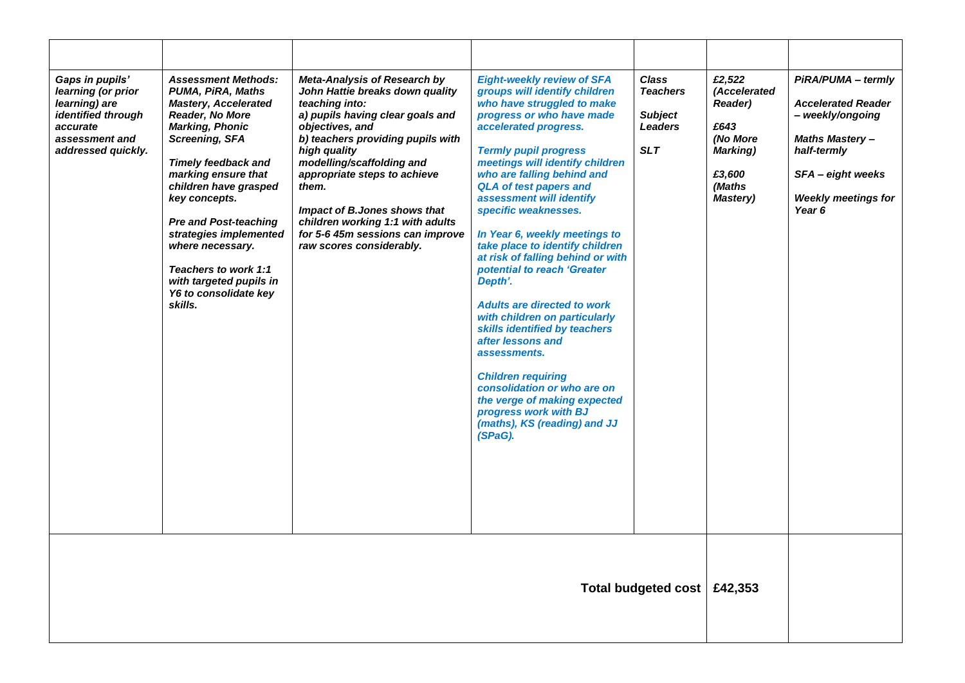| Gaps in pupils'<br>learning (or prior<br>learning) are<br>identified through<br>accurate<br>assessment and<br>addressed quickly. | <b>Assessment Methods:</b><br>PUMA, PiRA, Maths<br><b>Mastery, Accelerated</b><br><b>Reader, No More</b><br><b>Marking, Phonic</b><br><b>Screening, SFA</b><br><b>Timely feedback and</b><br>marking ensure that<br>children have grasped<br>key concepts.<br><b>Pre and Post-teaching</b><br>strategies implemented<br>where necessary.<br>Teachers to work 1:1<br>with targeted pupils in<br>Y6 to consolidate key<br>skills. | Meta-Analysis of Research by<br>John Hattie breaks down quality<br>teaching into:<br>a) pupils having clear goals and<br>objectives, and<br>b) teachers providing pupils with<br>high quality<br>modelling/scaffolding and<br>appropriate steps to achieve<br>them.<br>Impact of B.Jones shows that<br>children working 1:1 with adults<br>for 5-6 45m sessions can improve<br>raw scores considerably. | <b>Eight-weekly review of SFA</b><br>groups will identify children<br>who have struggled to make<br>progress or who have made<br>accelerated progress.<br><b>Termly pupil progress</b><br>meetings will identify children<br>who are falling behind and<br><b>QLA of test papers and</b><br>assessment will identify<br>specific weaknesses.<br>In Year 6, weekly meetings to<br>take place to identify children<br>at risk of falling behind or with<br>potential to reach 'Greater<br>Depth'.<br><b>Adults are directed to work</b><br>with children on particularly<br>skills identified by teachers<br>after lessons and<br>assessments.<br><b>Children requiring</b><br>consolidation or who are on<br>the verge of making expected<br>progress work with BJ<br>(maths), KS (reading) and JJ<br>(SPaG). | <b>Class</b><br><b>Teachers</b><br><b>Subject</b><br><b>Leaders</b><br><b>SLT</b> | £2,522<br>(Accelerated<br><b>Reader)</b><br>£643<br>(No More<br>Marking)<br>£3,600<br>(Maths<br>Mastery) | PiRA/PUMA - termly<br><b>Accelerated Reader</b><br>- weekly/ongoing<br><b>Maths Mastery-</b><br>half-termly<br>SFA - eight weeks<br><b>Weekly meetings for</b><br>Year 6 |
|----------------------------------------------------------------------------------------------------------------------------------|---------------------------------------------------------------------------------------------------------------------------------------------------------------------------------------------------------------------------------------------------------------------------------------------------------------------------------------------------------------------------------------------------------------------------------|---------------------------------------------------------------------------------------------------------------------------------------------------------------------------------------------------------------------------------------------------------------------------------------------------------------------------------------------------------------------------------------------------------|--------------------------------------------------------------------------------------------------------------------------------------------------------------------------------------------------------------------------------------------------------------------------------------------------------------------------------------------------------------------------------------------------------------------------------------------------------------------------------------------------------------------------------------------------------------------------------------------------------------------------------------------------------------------------------------------------------------------------------------------------------------------------------------------------------------|-----------------------------------------------------------------------------------|----------------------------------------------------------------------------------------------------------|--------------------------------------------------------------------------------------------------------------------------------------------------------------------------|
| Total budgeted cost   £42,353                                                                                                    |                                                                                                                                                                                                                                                                                                                                                                                                                                 |                                                                                                                                                                                                                                                                                                                                                                                                         |                                                                                                                                                                                                                                                                                                                                                                                                                                                                                                                                                                                                                                                                                                                                                                                                              |                                                                                   |                                                                                                          |                                                                                                                                                                          |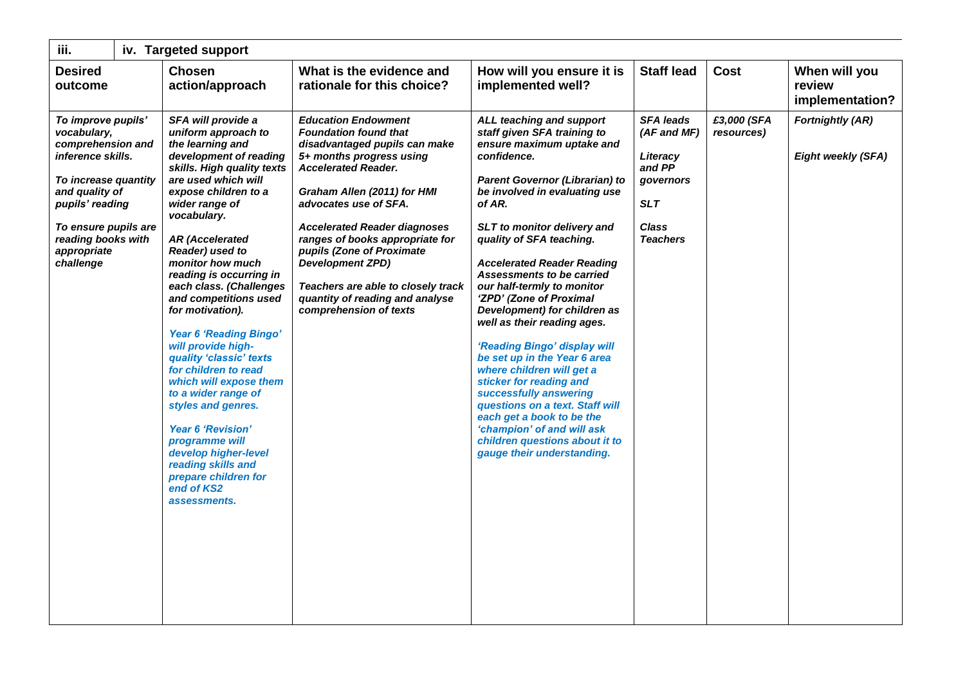| iii.                                                                                                                                                                                                               | iv. Targeted support                                                                                                                                                                                                                                                                                                                                                                                                                                                                                                                                                                                                                                                                                         |                                                                                                                                                                                                                                                                                                                                                                                                                                                    |                                                                                                                                                                                                                                                                                                                                                                                                                                                                                                                                                                                                                                                                                                                                                                     |                                                                                                                     |                           |                                                      |  |
|--------------------------------------------------------------------------------------------------------------------------------------------------------------------------------------------------------------------|--------------------------------------------------------------------------------------------------------------------------------------------------------------------------------------------------------------------------------------------------------------------------------------------------------------------------------------------------------------------------------------------------------------------------------------------------------------------------------------------------------------------------------------------------------------------------------------------------------------------------------------------------------------------------------------------------------------|----------------------------------------------------------------------------------------------------------------------------------------------------------------------------------------------------------------------------------------------------------------------------------------------------------------------------------------------------------------------------------------------------------------------------------------------------|---------------------------------------------------------------------------------------------------------------------------------------------------------------------------------------------------------------------------------------------------------------------------------------------------------------------------------------------------------------------------------------------------------------------------------------------------------------------------------------------------------------------------------------------------------------------------------------------------------------------------------------------------------------------------------------------------------------------------------------------------------------------|---------------------------------------------------------------------------------------------------------------------|---------------------------|------------------------------------------------------|--|
| <b>Desired</b><br>outcome                                                                                                                                                                                          | <b>Chosen</b><br>action/approach                                                                                                                                                                                                                                                                                                                                                                                                                                                                                                                                                                                                                                                                             | What is the evidence and<br>rationale for this choice?                                                                                                                                                                                                                                                                                                                                                                                             | How will you ensure it is<br>implemented well?                                                                                                                                                                                                                                                                                                                                                                                                                                                                                                                                                                                                                                                                                                                      | <b>Staff lead</b>                                                                                                   | <b>Cost</b>               | When will you<br>review<br>implementation?           |  |
| To improve pupils'<br>vocabulary,<br>comprehension and<br>inference skills.<br>To increase quantity<br>and quality of<br>pupils' reading<br>To ensure pupils are<br>reading books with<br>appropriate<br>challenge | SFA will provide a<br>uniform approach to<br>the learning and<br>development of reading<br>skills. High quality texts<br>are used which will<br>expose children to a<br>wider range of<br>vocabulary.<br><b>AR (Accelerated</b><br>Reader) used to<br>monitor how much<br>reading is occurring in<br>each class. (Challenges<br>and competitions used<br>for motivation).<br><b>Year 6 'Reading Bingo'</b><br>will provide high-<br>quality 'classic' texts<br>for children to read<br>which will expose them<br>to a wider range of<br>styles and genres.<br><b>Year 6 'Revision'</b><br>programme will<br>develop higher-level<br>reading skills and<br>prepare children for<br>end of KS2<br>assessments. | <b>Education Endowment</b><br><b>Foundation found that</b><br>disadvantaged pupils can make<br>5+ months progress using<br><b>Accelerated Reader.</b><br>Graham Allen (2011) for HMI<br>advocates use of SFA.<br><b>Accelerated Reader diagnoses</b><br>ranges of books appropriate for<br>pupils (Zone of Proximate<br><b>Development ZPD)</b><br>Teachers are able to closely track<br>quantity of reading and analyse<br>comprehension of texts | ALL teaching and support<br>staff given SFA training to<br>ensure maximum uptake and<br>confidence.<br><b>Parent Governor (Librarian) to</b><br>be involved in evaluating use<br>of AR.<br>SLT to monitor delivery and<br>quality of SFA teaching.<br><b>Accelerated Reader Reading</b><br><b>Assessments to be carried</b><br>our half-termly to monitor<br>'ZPD' (Zone of Proximal<br>Development) for children as<br>well as their reading ages.<br>'Reading Bingo' display will<br>be set up in the Year 6 area<br>where children will get a<br>sticker for reading and<br>successfully answering<br>questions on a text. Staff will<br>each get a book to be the<br>'champion' of and will ask<br>children questions about it to<br>gauge their understanding. | <b>SFA leads</b><br>(AF and MF)<br>Literacy<br>and PP<br>governors<br><b>SLT</b><br><b>Class</b><br><b>Teachers</b> | £3,000 (SFA<br>resources) | <b>Fortnightly (AR)</b><br><b>Eight weekly (SFA)</b> |  |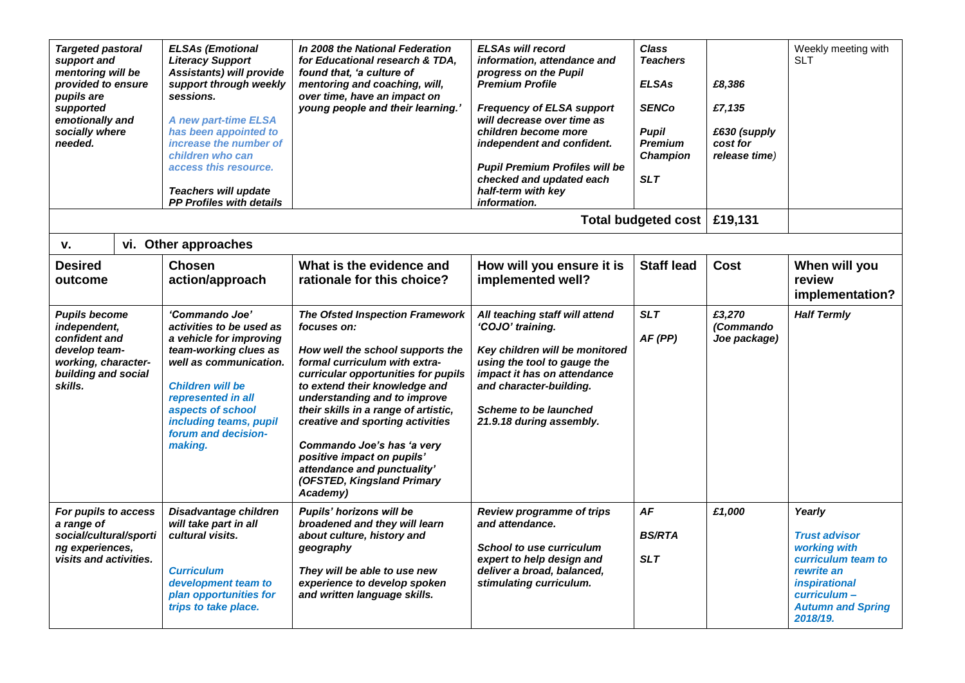| <b>Targeted pastoral</b><br>support and<br>mentoring will be<br>provided to ensure<br>pupils are<br>supported<br>emotionally and<br>socially where<br>needed. | <b>ELSAs (Emotional</b><br><b>Literacy Support</b><br><b>Assistants) will provide</b><br>support through weekly<br>sessions.<br>A new part-time ELSA<br>has been appointed to<br>increase the number of<br>children who can<br>access this resource.<br><b>Teachers will update</b><br>PP Profiles with details | In 2008 the National Federation<br>for Educational research & TDA,<br>found that, 'a culture of<br>mentoring and coaching, will,<br>over time, have an impact on<br>young people and their learning.'                                                                                                                                                                                                                                               | <b>ELSAs will record</b><br>information, attendance and<br>progress on the Pupil<br><b>Premium Profile</b><br><b>Frequency of ELSA support</b><br>will decrease over time as<br>children become more<br>independent and confident.<br><b>Pupil Premium Profiles will be</b><br>checked and updated each<br>half-term with key<br><i>information</i> | <b>Class</b><br><b>Teachers</b><br><b>ELSAs</b><br><b>SENCo</b><br><b>Pupil</b><br><b>Premium</b><br>Champion<br><b>SLT</b> | £8,386<br>£7,135<br>£630 (supply<br>cost for<br>release time) | Weekly meeting with<br><b>SLT</b>                                                                                                                                 |
|---------------------------------------------------------------------------------------------------------------------------------------------------------------|-----------------------------------------------------------------------------------------------------------------------------------------------------------------------------------------------------------------------------------------------------------------------------------------------------------------|-----------------------------------------------------------------------------------------------------------------------------------------------------------------------------------------------------------------------------------------------------------------------------------------------------------------------------------------------------------------------------------------------------------------------------------------------------|-----------------------------------------------------------------------------------------------------------------------------------------------------------------------------------------------------------------------------------------------------------------------------------------------------------------------------------------------------|-----------------------------------------------------------------------------------------------------------------------------|---------------------------------------------------------------|-------------------------------------------------------------------------------------------------------------------------------------------------------------------|
|                                                                                                                                                               |                                                                                                                                                                                                                                                                                                                 |                                                                                                                                                                                                                                                                                                                                                                                                                                                     |                                                                                                                                                                                                                                                                                                                                                     | Total budgeted cost                                                                                                         | £19,131                                                       |                                                                                                                                                                   |
| v.                                                                                                                                                            | vi. Other approaches                                                                                                                                                                                                                                                                                            |                                                                                                                                                                                                                                                                                                                                                                                                                                                     |                                                                                                                                                                                                                                                                                                                                                     |                                                                                                                             |                                                               |                                                                                                                                                                   |
| <b>Desired</b><br>outcome                                                                                                                                     | <b>Chosen</b><br>action/approach                                                                                                                                                                                                                                                                                | What is the evidence and<br>rationale for this choice?                                                                                                                                                                                                                                                                                                                                                                                              | How will you ensure it is<br>implemented well?                                                                                                                                                                                                                                                                                                      | <b>Staff lead</b>                                                                                                           | Cost                                                          | When will you<br>review<br>implementation?                                                                                                                        |
| <b>Pupils become</b><br>independent,<br>confident and<br>develop team-<br>working, character-<br>building and social<br>skills.                               | 'Commando Joe'<br>activities to be used as<br>a vehicle for improving<br>team-working clues as<br>well as communication.<br><b>Children will be</b><br>represented in all<br>aspects of school<br>including teams, pupil<br>forum and decision-<br>making.                                                      | <b>The Ofsted Inspection Framework</b><br>focuses on:<br>How well the school supports the<br>formal curriculum with extra-<br>curricular opportunities for pupils<br>to extend their knowledge and<br>understanding and to improve<br>their skills in a range of artistic,<br>creative and sporting activities<br>Commando Joe's has 'a very<br>positive impact on pupils'<br>attendance and punctuality'<br>(OFSTED, Kingsland Primary<br>Academy) | All teaching staff will attend<br>'COJO' training.<br>Key children will be monitored<br>using the tool to gauge the<br>impact it has on attendance<br>and character-building.<br><b>Scheme to be launched</b><br>21.9.18 during assembly.                                                                                                           | <b>SLT</b><br>AF(PP)                                                                                                        | £3.270<br>(Commando<br>Joe package)                           | <b>Half Termly</b>                                                                                                                                                |
| For pupils to access<br>a range of<br>social/cultural/sporti<br>ng experiences,<br>visits and activities.                                                     | Disadvantage children<br>will take part in all<br>cultural visits.<br><b>Curriculum</b><br>development team to<br>plan opportunities for<br>trips to take place.                                                                                                                                                | Pupils' horizons will be<br>broadened and they will learn<br>about culture, history and<br>geography<br>They will be able to use new<br>experience to develop spoken<br>and written language skills.                                                                                                                                                                                                                                                | <b>Review programme of trips</b><br>and attendance.<br><b>School to use curriculum</b><br>expert to help design and<br>deliver a broad, balanced,<br>stimulating curriculum.                                                                                                                                                                        | AF<br><b>BS/RTA</b><br><b>SLT</b>                                                                                           | £1,000                                                        | Yearly<br><b>Trust advisor</b><br>working with<br>curriculum team to<br>rewrite an<br><i>inspirational</i><br>curriculum-<br><b>Autumn and Spring</b><br>2018/19. |